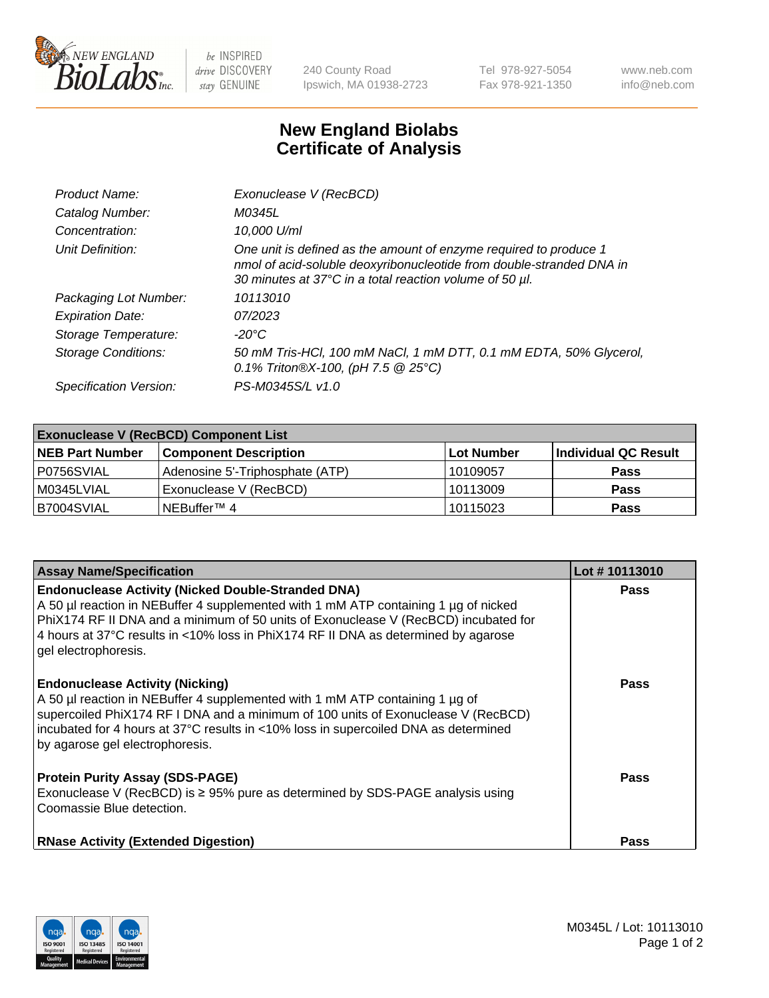

 $be$  INSPIRED drive DISCOVERY stay GENUINE

240 County Road Ipswich, MA 01938-2723 Tel 978-927-5054 Fax 978-921-1350 www.neb.com info@neb.com

## **New England Biolabs Certificate of Analysis**

| Product Name:              | Exonuclease V (RecBCD)                                                                                                                                                                               |
|----------------------------|------------------------------------------------------------------------------------------------------------------------------------------------------------------------------------------------------|
| Catalog Number:            | M0345L                                                                                                                                                                                               |
| Concentration:             | 10,000 U/ml                                                                                                                                                                                          |
| Unit Definition:           | One unit is defined as the amount of enzyme required to produce 1<br>nmol of acid-soluble deoxyribonucleotide from double-stranded DNA in<br>30 minutes at 37°C in a total reaction volume of 50 µl. |
| Packaging Lot Number:      | 10113010                                                                                                                                                                                             |
| <b>Expiration Date:</b>    | 07/2023                                                                                                                                                                                              |
| Storage Temperature:       | -20°C                                                                                                                                                                                                |
| <b>Storage Conditions:</b> | 50 mM Tris-HCl, 100 mM NaCl, 1 mM DTT, 0.1 mM EDTA, 50% Glycerol,<br>0.1% Triton®X-100, (pH 7.5 $@25°C$ )                                                                                            |
| Specification Version:     | PS-M0345S/L v1.0                                                                                                                                                                                     |

| <b>Exonuclease V (RecBCD) Component List</b> |                                 |                   |                      |  |
|----------------------------------------------|---------------------------------|-------------------|----------------------|--|
| <b>NEB Part Number</b>                       | <b>Component Description</b>    | <b>Lot Number</b> | Individual QC Result |  |
| IP0756SVIAL                                  | Adenosine 5'-Triphosphate (ATP) | 10109057          | <b>Pass</b>          |  |
| M0345LVIAL                                   | Exonuclease V (RecBCD)          | 10113009          | <b>Pass</b>          |  |
| B7004SVIAL                                   | INEBuffer™ 4                    | 10115023          | <b>Pass</b>          |  |

| <b>Assay Name/Specification</b>                                                                                                                                                                                                                                                                                                                       | Lot #10113010 |
|-------------------------------------------------------------------------------------------------------------------------------------------------------------------------------------------------------------------------------------------------------------------------------------------------------------------------------------------------------|---------------|
| <b>Endonuclease Activity (Nicked Double-Stranded DNA)</b><br>A 50 µl reaction in NEBuffer 4 supplemented with 1 mM ATP containing 1 µg of nicked<br>PhiX174 RF II DNA and a minimum of 50 units of Exonuclease V (RecBCD) incubated for<br>4 hours at 37°C results in <10% loss in PhiX174 RF II DNA as determined by agarose<br>gel electrophoresis. | <b>Pass</b>   |
| <b>Endonuclease Activity (Nicking)</b><br>A 50 µl reaction in NEBuffer 4 supplemented with 1 mM ATP containing 1 µg of<br>supercoiled PhiX174 RF I DNA and a minimum of 100 units of Exonuclease V (RecBCD)<br>incubated for 4 hours at 37°C results in <10% loss in supercoiled DNA as determined<br>by agarose gel electrophoresis.                 | <b>Pass</b>   |
| <b>Protein Purity Assay (SDS-PAGE)</b><br>Exonuclease V (RecBCD) is $\geq$ 95% pure as determined by SDS-PAGE analysis using<br>Coomassie Blue detection.                                                                                                                                                                                             | <b>Pass</b>   |
| <b>RNase Activity (Extended Digestion)</b>                                                                                                                                                                                                                                                                                                            | <b>Pass</b>   |